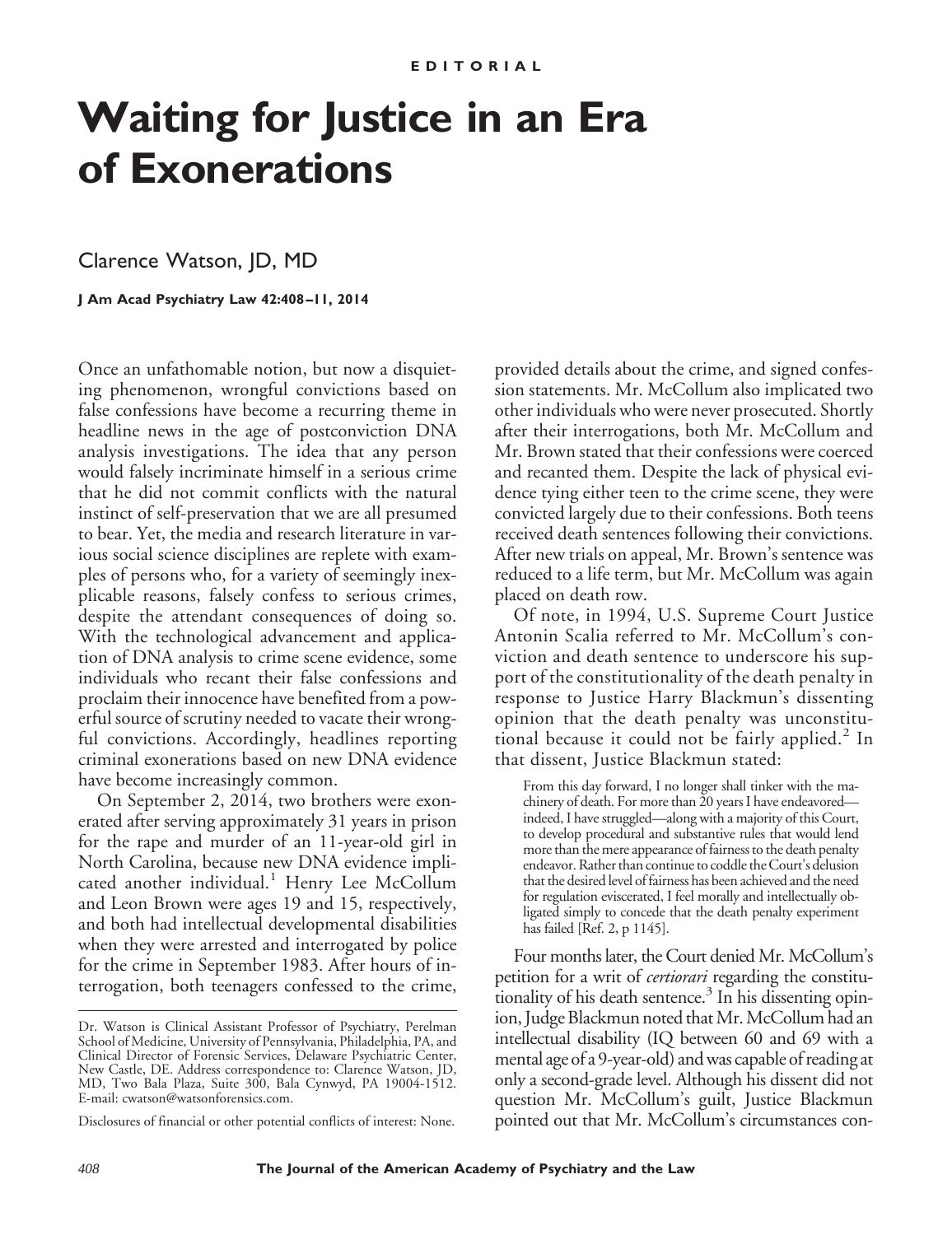# **Waiting for Justice in an Era of Exonerations**

## Clarence Watson, JD, MD

**J Am Acad Psychiatry Law 42:408 –11, 2014**

Once an unfathomable notion, but now a disquieting phenomenon, wrongful convictions based on false confessions have become a recurring theme in headline news in the age of postconviction DNA analysis investigations. The idea that any person would falsely incriminate himself in a serious crime that he did not commit conflicts with the natural instinct of self-preservation that we are all presumed to bear. Yet, the media and research literature in various social science disciplines are replete with examples of persons who, for a variety of seemingly inexplicable reasons, falsely confess to serious crimes, despite the attendant consequences of doing so. With the technological advancement and application of DNA analysis to crime scene evidence, some individuals who recant their false confessions and proclaim their innocence have benefited from a powerful source of scrutiny needed to vacate their wrongful convictions. Accordingly, headlines reporting criminal exonerations based on new DNA evidence have become increasingly common.

On September 2, 2014, two brothers were exonerated after serving approximately 31 years in prison for the rape and murder of an 11-year-old girl in North Carolina, because new DNA evidence implicated another individual.<sup>1</sup> Henry Lee McCollum and Leon Brown were ages 19 and 15, respectively, and both had intellectual developmental disabilities when they were arrested and interrogated by police for the crime in September 1983. After hours of interrogation, both teenagers confessed to the crime,

Disclosures of financial or other potential conflicts of interest: None.

provided details about the crime, and signed confession statements. Mr. McCollum also implicated two other individuals who were never prosecuted. Shortly after their interrogations, both Mr. McCollum and Mr. Brown stated that their confessions were coerced and recanted them. Despite the lack of physical evidence tying either teen to the crime scene, they were convicted largely due to their confessions. Both teens received death sentences following their convictions. After new trials on appeal, Mr. Brown's sentence was reduced to a life term, but Mr. McCollum was again placed on death row.

Of note, in 1994, U.S. Supreme Court Justice Antonin Scalia referred to Mr. McCollum's conviction and death sentence to underscore his support of the constitutionality of the death penalty in response to Justice Harry Blackmun's dissenting opinion that the death penalty was unconstitutional because it could not be fairly applied.<sup>2</sup> In that dissent, Justice Blackmun stated:

From this day forward, I no longer shall tinker with the machinery of death. For more than 20 years I have endeavored indeed, I have struggled—along with a majority of this Court, to develop procedural and substantive rules that would lend more than the mere appearance of fairness to the death penalty endeavor. Rather than continue to coddle the Court's delusion that the desired level offairness has been achieved and the need for regulation eviscerated, I feel morally and intellectually obligated simply to concede that the death penalty experiment has failed [Ref. 2, p 1145].

Four months later, the Court denied Mr. McCollum's petition for a writ of *certiorari* regarding the constitutionality of his death sentence. $3$  In his dissenting opinion, Judge Blackmun noted that Mr. McCollum had an intellectual disability (IQ between 60 and 69 with a mental age of a 9-year-old) andwas capable of reading at only a second-grade level. Although his dissent did not question Mr. McCollum's guilt, Justice Blackmun pointed out that Mr. McCollum's circumstances con-

Dr. Watson is Clinical Assistant Professor of Psychiatry, Perelman School of Medicine, University of Pennsylvania, Philadelphia, PA, and Clinical Director of Forensic Services, Delaware Psychiatric Center, New Castle, DE. Address correspondence to: Clarence Watson, JD, MD, Two Bala Plaza, Suite 300, Bala Cynwyd, PA 19004-1512. E-mail: cwatson@watsonforensics.com.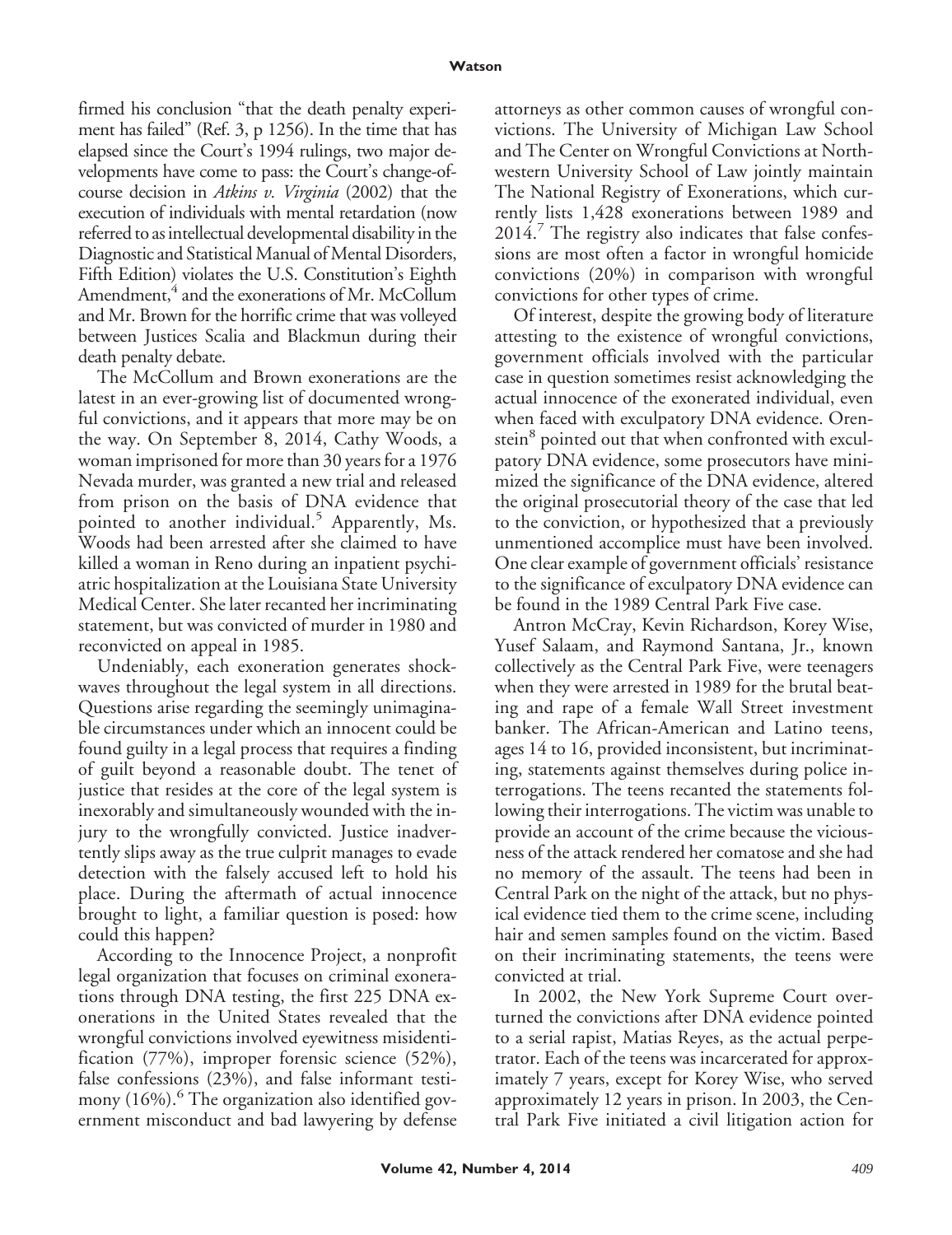firmed his conclusion "that the death penalty experiment has failed" (Ref. 3, p 1256). In the time that has elapsed since the Court's 1994 rulings, two major developments have come to pass: the Court's change-ofcourse decision in *Atkins v. Virginia* (2002) that the execution of individuals with mental retardation (now referred to as intellectual developmental disability in the Diagnostic and Statistical Manual of Mental Disorders, Fifth Edition) violates the U.S. Constitution's Eighth Amendment,<sup>4</sup> and the exonerations of Mr. McCollum and Mr. Brown for the horrific crime that was volleyed between Justices Scalia and Blackmun during their death penalty debate.

The McCollum and Brown exonerations are the latest in an ever-growing list of documented wrongful convictions, and it appears that more may be on the way. On September 8, 2014, Cathy Woods, a woman imprisoned for more than 30 years for a 1976 Nevada murder, was granted a new trial and released from prison on the basis of DNA evidence that pointed to another individual.<sup>5</sup> Apparently, Ms. Woods had been arrested after she claimed to have killed a woman in Reno during an inpatient psychiatric hospitalization at the Louisiana State University Medical Center. She later recanted her incriminating statement, but was convicted of murder in 1980 and reconvicted on appeal in 1985.

Undeniably, each exoneration generates shockwaves throughout the legal system in all directions. Questions arise regarding the seemingly unimaginable circumstances under which an innocent could be found guilty in a legal process that requires a finding of guilt beyond a reasonable doubt. The tenet of justice that resides at the core of the legal system is inexorably and simultaneously wounded with the injury to the wrongfully convicted. Justice inadvertently slips away as the true culprit manages to evade detection with the falsely accused left to hold his place. During the aftermath of actual innocence brought to light, a familiar question is posed: how could this happen?

According to the Innocence Project, a nonprofit legal organization that focuses on criminal exonerations through DNA testing, the first 225 DNA exonerations in the United States revealed that the wrongful convictions involved eyewitness misidentification (77%), improper forensic science (52%), false confessions (23%), and false informant testimony  $(16\%)$ .<sup>6</sup> The organization also identified government misconduct and bad lawyering by defense attorneys as other common causes of wrongful convictions. The University of Michigan Law School and The Center on Wrongful Convictions at Northwestern University School of Law jointly maintain The National Registry of Exonerations, which currently lists 1,428 exonerations between 1989 and 2014. The registry also indicates that false confessions are most often a factor in wrongful homicide convictions (20%) in comparison with wrongful convictions for other types of crime.

Of interest, despite the growing body of literature attesting to the existence of wrongful convictions, government officials involved with the particular case in question sometimes resist acknowledging the actual innocence of the exonerated individual, even when faced with exculpatory DNA evidence. Orenstein<sup>8</sup> pointed out that when confronted with exculpatory DNA evidence, some prosecutors have minimized the significance of the DNA evidence, altered the original prosecutorial theory of the case that led to the conviction, or hypothesized that a previously unmentioned accomplice must have been involved. One clear example of government officials' resistance to the significance of exculpatory DNA evidence can be found in the 1989 Central Park Five case.

Antron McCray, Kevin Richardson, Korey Wise, Yusef Salaam, and Raymond Santana, Jr., known collectively as the Central Park Five, were teenagers when they were arrested in 1989 for the brutal beating and rape of a female Wall Street investment banker. The African-American and Latino teens, ages 14 to 16, provided inconsistent, but incriminating, statements against themselves during police interrogations. The teens recanted the statements following their interrogations. The victim was unable to provide an account of the crime because the viciousness of the attack rendered her comatose and she had no memory of the assault. The teens had been in Central Park on the night of the attack, but no physical evidence tied them to the crime scene, including hair and semen samples found on the victim. Based on their incriminating statements, the teens were convicted at trial.

In 2002, the New York Supreme Court overturned the convictions after DNA evidence pointed to a serial rapist, Matias Reyes, as the actual perpetrator. Each of the teens was incarcerated for approximately 7 years, except for Korey Wise, who served approximately 12 years in prison. In 2003, the Central Park Five initiated a civil litigation action for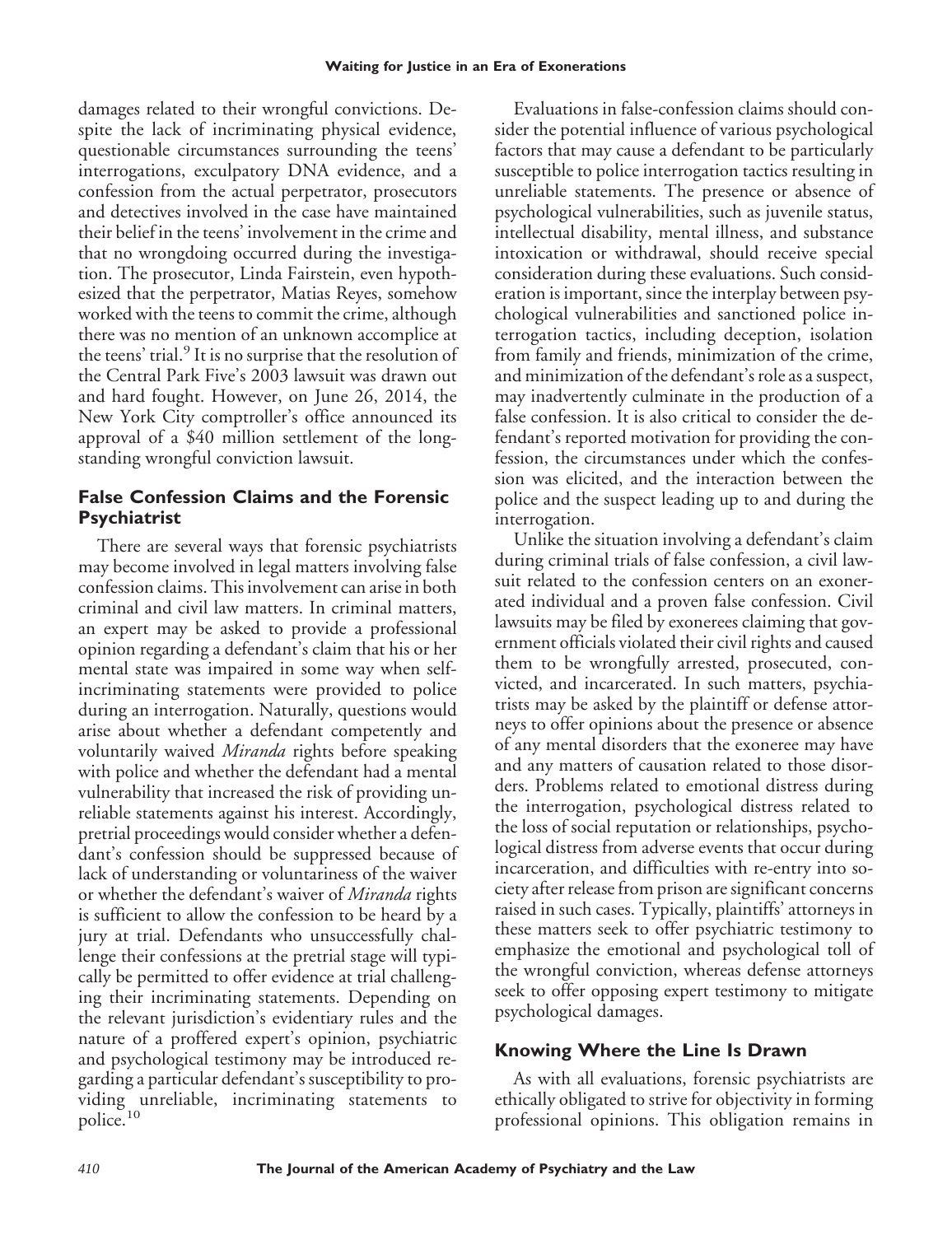damages related to their wrongful convictions. Despite the lack of incriminating physical evidence, questionable circumstances surrounding the teens' interrogations, exculpatory DNA evidence, and a confession from the actual perpetrator, prosecutors and detectives involved in the case have maintained their belief in the teens' involvement in the crime and that no wrongdoing occurred during the investigation. The prosecutor, Linda Fairstein, even hypothesized that the perpetrator, Matias Reyes, somehow worked with the teens to commit the crime, although there was no mention of an unknown accomplice at the teens' trial.<sup>9</sup> It is no surprise that the resolution of the Central Park Five's 2003 lawsuit was drawn out and hard fought. However, on June 26, 2014, the New York City comptroller's office announced its approval of a \$40 million settlement of the longstanding wrongful conviction lawsuit.

# **False Confession Claims and the Forensic Psychiatrist**

There are several ways that forensic psychiatrists may become involved in legal matters involving false confession claims. This involvement can arise in both criminal and civil law matters. In criminal matters, an expert may be asked to provide a professional opinion regarding a defendant's claim that his or her mental state was impaired in some way when selfincriminating statements were provided to police during an interrogation. Naturally, questions would arise about whether a defendant competently and voluntarily waived *Miranda* rights before speaking with police and whether the defendant had a mental vulnerability that increased the risk of providing unreliable statements against his interest. Accordingly, pretrial proceedings would consider whether a defendant's confession should be suppressed because of lack of understanding or voluntariness of the waiver or whether the defendant's waiver of *Miranda* rights is sufficient to allow the confession to be heard by a jury at trial. Defendants who unsuccessfully challenge their confessions at the pretrial stage will typically be permitted to offer evidence at trial challenging their incriminating statements. Depending on the relevant jurisdiction's evidentiary rules and the nature of a proffered expert's opinion, psychiatric and psychological testimony may be introduced regarding a particular defendant's susceptibility to providing unreliable, incriminating statements to police.<sup>10</sup>

Evaluations in false-confession claims should consider the potential influence of various psychological factors that may cause a defendant to be particularly susceptible to police interrogation tactics resulting in unreliable statements. The presence or absence of psychological vulnerabilities, such as juvenile status, intellectual disability, mental illness, and substance intoxication or withdrawal, should receive special consideration during these evaluations. Such consideration is important, since the interplay between psychological vulnerabilities and sanctioned police interrogation tactics, including deception, isolation from family and friends, minimization of the crime, and minimization of the defendant's role as a suspect, may inadvertently culminate in the production of a false confession. It is also critical to consider the defendant's reported motivation for providing the confession, the circumstances under which the confession was elicited, and the interaction between the police and the suspect leading up to and during the interrogation.

Unlike the situation involving a defendant's claim during criminal trials of false confession, a civil lawsuit related to the confession centers on an exonerated individual and a proven false confession. Civil lawsuits may be filed by exonerees claiming that government officials violated their civil rights and caused them to be wrongfully arrested, prosecuted, convicted, and incarcerated. In such matters, psychiatrists may be asked by the plaintiff or defense attorneys to offer opinions about the presence or absence of any mental disorders that the exoneree may have and any matters of causation related to those disorders. Problems related to emotional distress during the interrogation, psychological distress related to the loss of social reputation or relationships, psychological distress from adverse events that occur during incarceration, and difficulties with re-entry into society after release from prison are significant concerns raised in such cases. Typically, plaintiffs' attorneys in these matters seek to offer psychiatric testimony to emphasize the emotional and psychological toll of the wrongful conviction, whereas defense attorneys seek to offer opposing expert testimony to mitigate psychological damages.

### **Knowing Where the Line Is Drawn**

As with all evaluations, forensic psychiatrists are ethically obligated to strive for objectivity in forming professional opinions. This obligation remains in